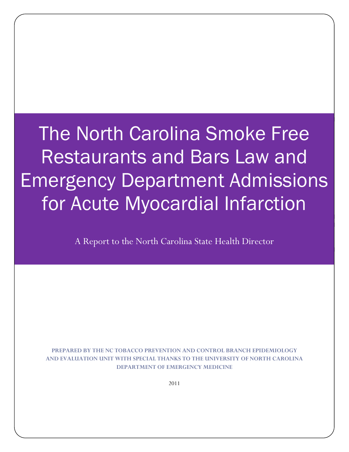The North Carolina Smoke Free Restaurants and Bars Law and Emergency Department Admissions for Acute Myocardial Infarction

A Report to the North Carolina State Health Director

PREPARED BY THE NC TOBACCO PREVENTION AND CONTROL BRANCH EPIDEMIOLOGY AND EVALUATION UNIT WITH SPECIAL THANKS TO THE UNIVERSITY OF NORTH CAROLINA DEPARTMENT OF EMERGENCY MEDICINE

2011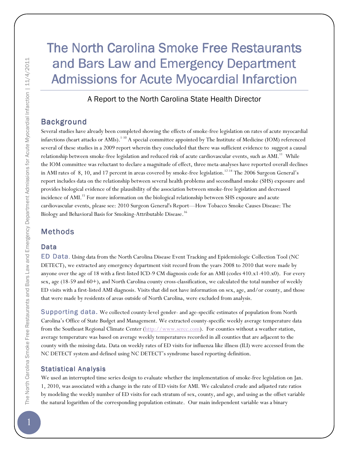# The North Carolina Smoke Free Restaurants and Bars Law and Emergency Department Admissions for Acute Myocardial Infarction

A Report to the North Carolina State Health Director

# Background

Several studies have already been completed showing the effects of smoke-free legislation on rates of acute myocardial infarctions (heart attacks or AMIs).<sup>1-10</sup> A special committee appointed by The Institute of Medicine (IOM) referenced several of these studies in a 2009 report wherein they concluded that there was sufficient evidence to suggest a causal relationship between smoke-free legislation and reduced risk of acute cardiovascular events, such as AMI.<sup>11</sup> While the IOM committee was reluctant to declare a magnitude of effect, three meta-analyses have reported overall declines in AMI rates of 8, 10, and 17 percent in areas covered by smoke-free legislation.<sup>12-14</sup> The 2006 Surgeon General's report includes data on the relationship between several health problems and secondhand smoke (SHS) exposure and provides biological evidence of the plausibility of the association between smoke-free legislation and decreased incidence of AMI.<sup>15</sup> For more information on the biological relationship between SHS exposure and acute cardiovascular events, please see: 2010 Surgeon General's Report—How Tobacco Smoke Causes Disease: The Biology and Behavioral Basis for Smoking-Attributable Disease.<sup>16</sup>

# **Methods**

### Data

ED Data. Using data from the North Carolina Disease Event Tracking and Epidemiologic Collection Tool (NC DETECT), we extracted any emergency department visit record from the years 2008 to 2010 that were made by anyone over the age of 18 with a first-listed ICD-9 CM diagnosis code for an AMI (codes 410.x1-410.x0). For every sex, age (18-59 and 60+), and North Carolina county cross-classification, we calculated the total number of weekly ED visits with a first-listed AMI diagnosis. Visits that did not have information on sex, age, and/or county, and those that were made by residents of areas outside of North Carolina, were excluded from analysis.

Supporting data. We collected county-level gender- and age-specific estimates of population from North Carolina's Office of State Budget and Management. We extracted county-specific weekly average temperature data from the Southeast Regional Climate Center (http://www.sercc.com). For counties without a weather station, average temperature was based on average weekly temperatures recorded in all counties that are adjacent to the county with the missing data. Data on weekly rates of ED visits for influenza like illness (ILI) were accessed from the NC DETECT system and defined using NC DETECT's syndrome based reporting definition.

### **Statistical Analysis**

We used an interrupted time series design to evaluate whether the implementation of smoke-free legislation on Jan. 1, 2010, was associated with a change in the rate of ED visits for AMI. We calculated crude and adjusted rate ratios by modeling the weekly number of ED visits for each stratum of sex, county, and age, and using as the offset variable the natural logarithm of the corresponding population estimate. Our main independent variable was a binary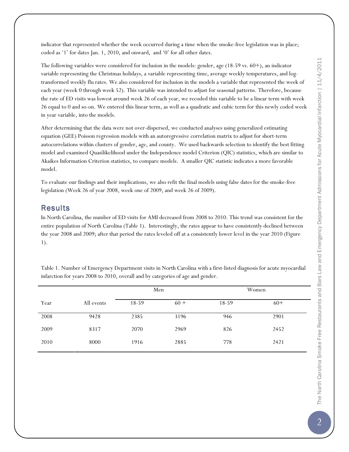indicator that represented whether the week occurred during a time when the smoke-free legislation was in place; coded as '1' for dates Jan. 1, 2010, and onward, and '0' for all other dates.

The following variables were considered for inclusion in the models: gender, age (18-59 vs. 60+), an indicator variable representing the Christmas holidays, a variable representing time, average weekly temperatures, and logtransformed weekly flu rates. We also considered for inclusion in the models a variable that represented the week of each year (week 0 through week 52). This variable was intended to adjust for seasonal patterns. Therefore, because the rate of ED visits was lowest around week 26 of each year, we recoded this variable to be a linear term with week 26 equal to 0 and so-on. We entered this linear term, as well as a quadratic and cubic term for this newly coded week in year variable, into the models.

After determining that the data were not over-dispersed, we conducted analyses using generalized estimating equation (GEE) Poisson regression models with an autoregressive correlation matrix to adjust for short-term autocorrelations within clusters of gender, age, and county. We used backwards selection to identify the best fitting model and examined Quasilikelihood under the Independence model Criterion (QIC) statistics, which are similar to Akaikes Information Criterion statistics, to compare models. A smaller QIC statistic indicates a more favorable model.

To evaluate our findings and their implications, we also refit the final models using false dates for the smoke-free legislation (Week 26 of year 2008, week one of 2009, and week 26 of 2009).

#### **Results**

In North Carolina, the number of ED visits for AMI decreased from 2008 to 2010. This trend was consistent for the entire population of North Carolina (Table 1). Interestingly, the rates appear to have consistently declined between the year 2008 and 2009; after that period the rates leveled off at a consistently lower level in the year 2010 (Figure 1).

Table 1. Number of Emergency Department visits in North Carolina with a first-listed diagnosis for acute myocardial infarction for years 2008 to 2010, overall and by categories of age and gender.

|      |            | Men   |        | Women |       |  |
|------|------------|-------|--------|-------|-------|--|
| Year | All events | 18-59 | $60 +$ | 18-59 | $60+$ |  |
| 2008 | 9428       | 2385  | 3196   | 946   | 2901  |  |
| 2009 | 8317       | 2070  | 2969   | 826   | 2452  |  |
| 2010 | 8000       | 1916  | 2885   | 778   | 2421  |  |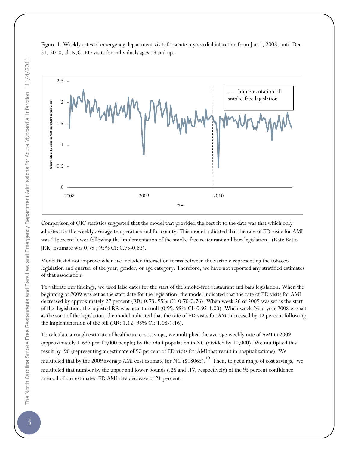



Comparison of QIC statistics suggested that the model that provided the best fit to the data was that which only adjusted for the weekly average temperature and for county. This model indicated that the rate of ED visits for AMI was 21percent lower following the implementation of the smoke-free restaurant and bars legislation. (Rate Ratio [RR] Estimate was 0.79 ; 95% CI: 0.75-0.83).

Model fit did not improve when we included interaction terms between the variable representing the tobacco legislation and quarter of the year, gender, or age category. Therefore, we have not reported any stratified estimates of that association.

To validate our findings, we used false dates for the start of the smoke-free restaurant and bars legislation. When the beginning of 2009 was set as the start date for the legislation, the model indicated that the rate of ED visits for AMI decreased by approximately 27 percent (RR: 0.73. 95% CI: 0.70-0.76). When week 26 of 2009 was set as the start of the legislation, the adjusted RR was near the null (0.99, 95% CI: 0.95-1.03). When week 26 of year 2008 was set as the start of the legislation, the model indicated that the rate of ED visits for AMI increased by 12 percent following the implementation of the bill (RR: 1.12, 95% CI: 1.08-1.16).

To calculate a rough estimate of healthcare cost savings, we multiplied the average weekly rate of AMI in 2009 (approximately 1.637 per 10,000 people) by the adult population in NC (divided by 10,000). We multiplied this result by .90 (representing an estimate of 90 percent of ED visits for AMI that result in hospitalizations). We multiplied that by the 2009 average AMI cost estimate for NC  $(18065)$ .<sup>19</sup> Then, to get a range of cost savings, we multiplied that number by the upper and lower bounds (.25 and .17, respectively) of the 95 percent confidence interval of our estimated ED AMI rate decrease of 21 percent.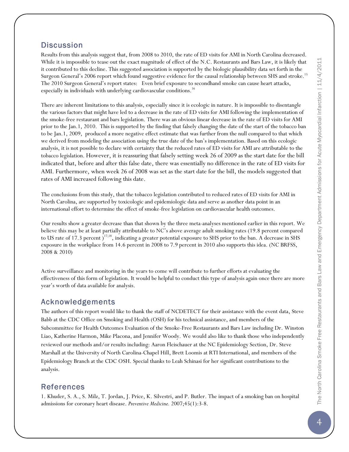### **Discussion**

Results from this analysis suggest that, from 2008 to 2010, the rate of ED visits for AMI in North Carolina decreased. While it is impossible to tease out the exact magnitude of effect of the N.C. Restaurants and Bars Law, it is likely that it contributed to this decline. This suggested association is supported by the biologic plausibility data set forth in the Surgeon General's 2006 report which found suggestive evidence for the causal relationship between SHS and stroke.<sup>15</sup> The 2010 Surgeon General's report states: Even brief exposure to secondhand smoke can cause heart attacks, especially in individuals with underlying cardiovascular conditions.<sup>16</sup>

There are inherent limitations to this analysis, especially since it is ecologic in nature. It is impossible to disentangle the various factors that might have led to a decrease in the rate of ED visits for AMI following the implementation of the smoke-free restaurant and bars legislation. There was an obvious linear decrease in the rate of ED visits for AMI prior to the Jan.1, 2010. This is supported by the finding that falsely changing the date of the start of the tobacco ban to be Jan.1, 2009, produced a more negative effect estimate that was further from the null compared to that which we derived from modeling the association using the true date of the ban's implementation. Based on this ecologic analysis, it is not possible to declare with certainty that the reduced rates of ED visits for AMI are attributable to the tobacco legislation. However, it is reassuring that falsely setting week 26 of 2009 as the start date for the bill indicated that, before and after this false date, there was essentially no difference in the rate of ED visits for AMI. Furthermore, when week 26 of 2008 was set as the start date for the bill, the models suggested that rates of AMI increased following this date.

The conclusions from this study, that the tobacco legislation contributed to reduced rates of ED visits for AMI in North Carolina, are supported by toxicologic and epidemiologic data and serve as another data point in an international effort to determine the effect of smoke-free legislation on cardiovascular health outcomes.

Our results show a greater decrease than that shown by the three meta-analyses mentioned earlier in this report. We believe this may be at least partially attributable to NC's above average adult smoking rates (19.8 percent compared to US rate of 17.3 percent  $j^{17,18}$ , indicating a greater potential exposure to SHS prior to the ban. A decrease in SHS exposure in the workplace from 14.6 percent in 2008 to 7.9 percent in 2010 also supports this idea. (NC BRFSS, 2008 & 2010)

Active surveillance and monitoring in the years to come will contribute to further efforts at evaluating the effectiveness of this form of legislation. It would be helpful to conduct this type of analysis again once there are more year's worth of data available for analysis.

# Acknowledgements

The authors of this report would like to thank the staff of NCDETECT for their assistance with the event data, Steve Babb at the CDC Office on Smoking and Health (OSH) for his technical assistance, and members of the Subcommittee for Health Outcomes Evaluation of the Smoke-Free Restaurants and Bars Law including Dr. Winston Liao, Katherine Harmon, Mike Placona, and Jennifer Woody. We would also like to thank those who independently reviewed our methods and/or results including: Aaron Fleischauer at the NC Epidemiology Section, Dr. Steve Marshall at the University of North Carolina-Chapel Hill, Brett Loomis at RTI International, and members of the Epidemiology Branch at the CDC OSH. Special thanks to Leah Schinasi for her significant contributions to the analysis.

### References

1. Khuder, S. A., S. Milz, T. Jordan, J. Price, K. Silvestri, and P. Butler. The impact of a smoking ban on hospital admissions for coronary heart disease. Preventive Medicine. 2007;45(1):3-8.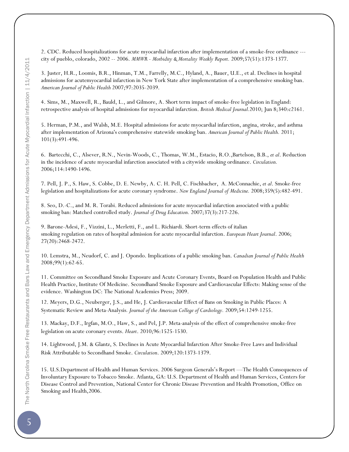2. CDC. Reduced hospitalizations for acute myocardial infarction after implementation of a smoke-free ordinance -- city of pueblo, colorado, 2002 -- 2006. MMWR - Morbidity & Mortality Weekly Report. 2009;57(51):1373-1377.

3. Juster, H.R., Loomis, B.R., Hinman, T.M., Farrelly, M.C., Hyland, A., Bauer, U.E., et al. Declines in hospital admissions for acutemyocardial infarction in New York State after implementation of a comprehensive smoking ban. American Journal of Public Health 2007;97:2035-2039.

4. Sims, M., Maxwell, R., Bauld, L., and Gilmore, A. Short term impact of smoke-free legislation in England: retrospective analysis of hospital admissions for myocardial infarction. British Medical Journal.2010; Jun 8;340:c2161.

5. Herman, P.M., and Walsh, M.E. Hospital admissions for acute myocardial infarction, angina, stroke, and asthma after implementation of Arizona's comprehensive statewide smoking ban. American Journal of Public Health. 2011; 101(3):491-496.

6. Bartecchi, C., Alsever, R.N., Nevin-Woods, C., Thomas, W.M., Estacio, R.O.,Bartelson, B.B., et al. Reduction in the incidence of acute myocardial infarction associated with a citywide smoking ordinance. Circulation. 2006;114:1490-1496.

7. Pell, J. P., S. Haw, S. Cobbe, D. E. Newby, A. C. H. Pell, C. Fischbacher, A. McConnachie, et al. Smoke-free legislation and hospitalizations for acute coronary syndrome. New England Journal of Medicine. 2008;359(5):482-491.

8. Seo, D.-C., and M. R. Torabi. Reduced admissions for acute myocardial infarction associated with a public smoking ban: Matched controlled study. Journal of Drug Education. 2007;37(3):217-226.

9. Barone-Adesi, F., Vizzini, L., Merletti, F., and L. Richiardi. Short-term effects of italian smoking regulation on rates of hospital admission for acute myocardial infarction. European Heart Journal. 2006; 27(20):2468-2472.

10. Lemstra, M., Neudorf, C. and J. Opondo. Implications of a public smoking ban. Canadian Journal of Public Health 2008;99(1):62-65.

11. Committee on Secondhand Smoke Exposure and Acute Coronary Events, Board on Population Health and Public Health Practice, Institute Of Medicine. Secondhand Smoke Exposure and Cardiovascular Effects: Making sense of the evidence. Washington DC: The National Academies Press; 2009.

12. Meyers, D.G., Neuberger, J.S., and He, J. Cardiovascular Effect of Bans on Smoking in Public Places: A Systematic Review and Meta-Analysis. Journal of the American College of Cardiology. 2009;54:1249-1255.

13. Mackay, D.F., Irgfan, M.O., Haw, S., and Pel, J.P. Meta-analysis of the effect of comprehensive smoke-free legislation on acute coronary events. Heart. 2010;96:1525-1530.

14. Lightwood, J.M. & Glantz, S. Declines in Acute Myocardial Infarction After Smoke-Free Laws and Individual Risk Attributable to Secondhand Smoke. Circulation. 2009;120:1373-1379.

15. U.S.Department of Health and Human Services. 2006 Surgeon Generals's Report —The Health Consequences of Involuntary Exposure to Tobacco Smoke. Atlanta, GA: U.S. Department of Health and Human Services, Centers for Disease Control and Prevention, National Center for Chronic Disease Prevention and Health Promotion, Office on Smoking and Health,2006.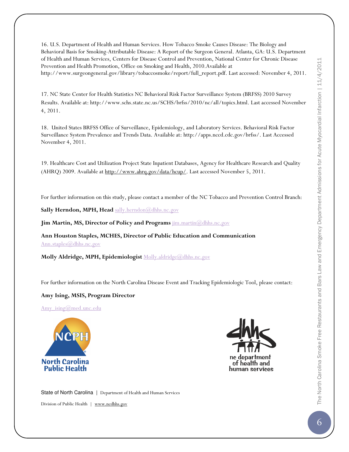16. U.S. Department of Health and Human Services. How Tobacco Smoke Causes Disease: The Biology and Behavioral Basis for Smoking-Attributable Disease: A Report of the Surgeon General. Atlanta, GA: U.S. Department of Health and Human Services, Centers for Disease Control and Prevention, National Center for Chronic Disease Prevention and Health Promotion, Office on Smoking and Health, 2010.Available at http://www.surgeongeneral.gov/library/tobaccosmoke/report/full\_report.pdf. Last accessed: November 4, 2011.

17. NC State Center for Health Statistics NC Behavioral Risk Factor Surveillance System (BRFSS) 2010 Survey Results. Available at: http://www.schs.state.nc.us/SCHS/brfss/2010/nc/all/topics.html. Last accessed November 4, 2011.

18. United States BRFSS Office of Surveillance, Epidemiology, and Laboratory Services. Behavioral Risk Factor Surveillance System Prevalence and Trends Data. Available at: http://apps.nccd.cdc.gov/brfss/. Last Accessed November 4, 2011.

19. Healthcare Cost and Utilization Project State Inpatient Databases, Agency for Healthcare Research and Quality (AHRQ) 2009. Available at http://www.ahrq.gov/data/hcup/. Last accessed November 5, 2011.

For further information on this study, please contact a member of the NC Tobacco and Prevention Control Branch:

Sally Herndon, MPH, Head sally.herndon@dhhs.nc.gov

Jim Martin, MS, Director of Policy and Programs  $\lim_{m \to \infty} \frac{\partial}{\partial \theta}$ 

Ann Houston Staples, MCHES, Director of Public Education and Communication Ann.staples@dhhs.nc.gov

Molly Aldridge, MPH, Epidemiologist Molly.aldridge@dhhs.nc.gov

For further information on the North Carolina Disease Event and Tracking Epidemiologic Tool, please contact:

#### Amy Ising, MSIS, Program Director

Amy\_ising@med.unc.edu





State of North Carolina | Department of Health and Human Services

Division of Public Health | www.ncdhhs.gov